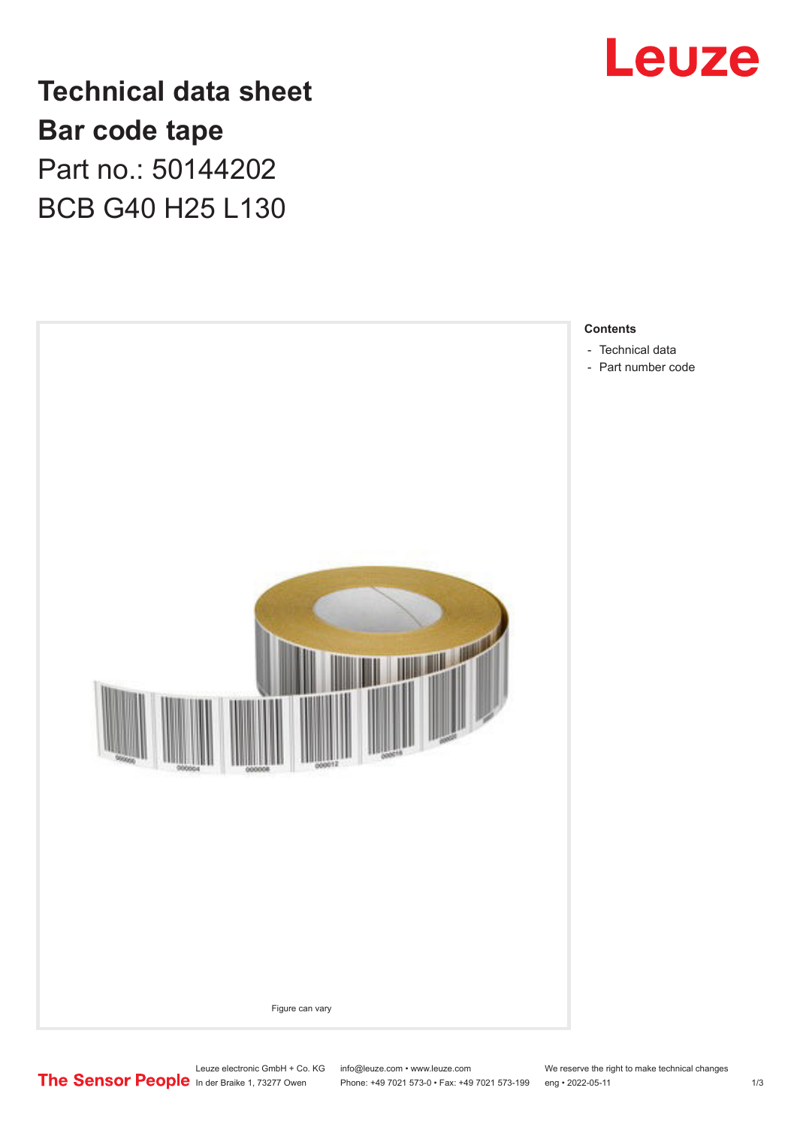

**Technical data sheet Bar code tape** Part no.: 50144202 BCB G40 H25 L130



Leuze electronic GmbH + Co. KG info@leuze.com • www.leuze.com We reserve the right to make technical changes<br>
The Sensor People in der Braike 1, 73277 Owen Phone: +49 7021 573-0 • Fax: +49 7021 573-199 eng • 2022-05-11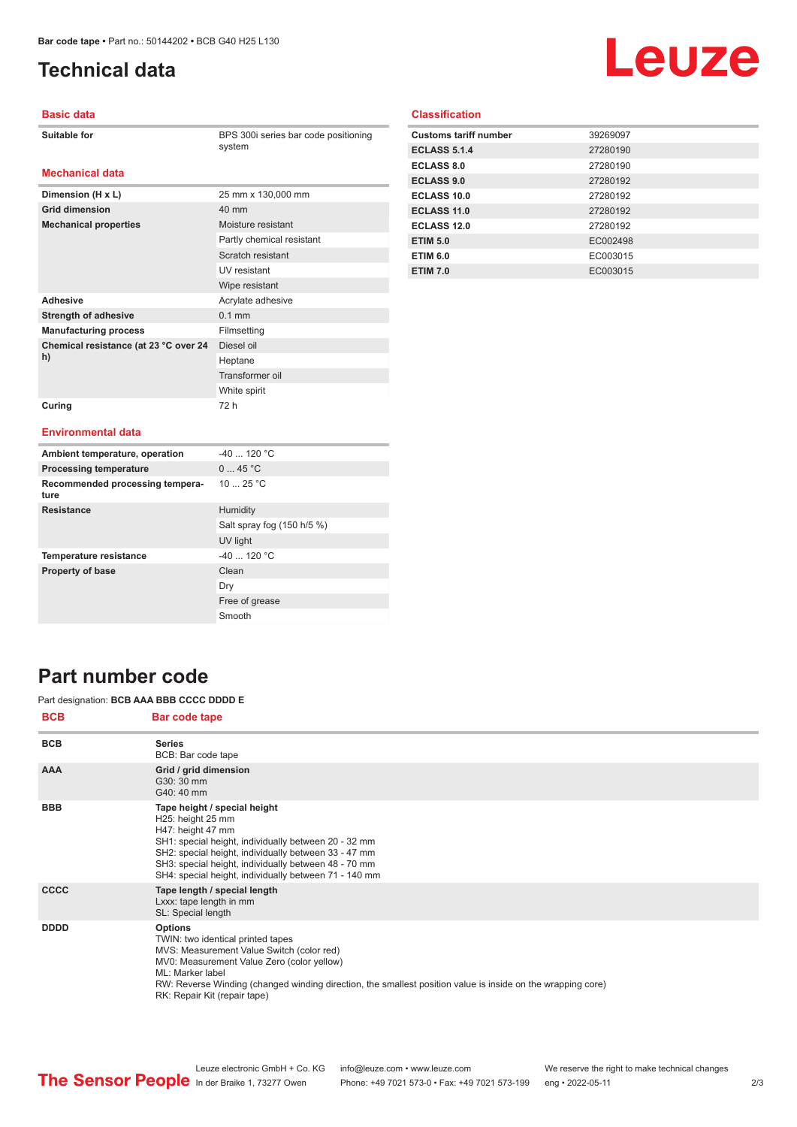**Dimension (H x L)** 25 mm x 130,000 mm

**Mechanical properties** Moisture resistant

Adhesive **Adhesive** Acrylate adhesive **Strength of adhesive** 0.1 mm **Manufacturing process** Filmsetting

**Grid dimension** 40 mm

**Chemical resistance (at 23 °C over 24** 

**Curing** 72 h

# <span id="page-1-0"></span>**Technical data**

# Leuze

#### **Basic data**

| <b>Suitable for</b> |  |
|---------------------|--|
|---------------------|--|

**Mechanical data**

**BPS 300i series bar code positioning** system

Partly chemical resistant Scratch resistant UV resistant Wipe resistant

Diesel oil Heptane Transformer oil White spirit

#### **Classification**

| <b>Customs tariff number</b> | 39269097 |
|------------------------------|----------|
| <b>ECLASS 5.1.4</b>          | 27280190 |
| <b>ECLASS 8.0</b>            | 27280190 |
| <b>ECLASS 9.0</b>            | 27280192 |
| ECLASS 10.0                  | 27280192 |
| ECLASS 11.0                  | 27280192 |
| <b>ECLASS 12.0</b>           | 27280192 |
| <b>ETIM 5.0</b>              | EC002498 |
| <b>ETIM 6.0</b>              | EC003015 |
| <b>ETIM 7.0</b>              | EC003015 |

#### **Environmental data**

**h)**

| Ambient temperature, operation          | $-40$ 120 °C               |
|-----------------------------------------|----------------------------|
| <b>Processing temperature</b>           | 045 °C                     |
| Recommended processing tempera-<br>ture | 10 $25 °C$                 |
| <b>Resistance</b>                       | Humidity                   |
|                                         | Salt spray fog (150 h/5 %) |
|                                         | UV light                   |
| <b>Temperature resistance</b>           | $-40$ 120 °C               |
| <b>Property of base</b>                 | Clean                      |
|                                         | Dry                        |
|                                         | Free of grease             |
|                                         | Smooth                     |

### **Part number code**

#### Part designation: **BCB AAA BBB CCCC DDDD E**

| Bar code tape                                                                                                                                                                                                                                                                                                     |
|-------------------------------------------------------------------------------------------------------------------------------------------------------------------------------------------------------------------------------------------------------------------------------------------------------------------|
| <b>Series</b><br>BCB: Bar code tape                                                                                                                                                                                                                                                                               |
| Grid / grid dimension<br>G30: 30 mm<br>G40: 40 mm                                                                                                                                                                                                                                                                 |
| Tape height / special height<br>H25: height 25 mm<br>H47: height 47 mm<br>SH1: special height, individually between 20 - 32 mm<br>SH2: special height, individually between 33 - 47 mm<br>SH3: special height, individually between 48 - 70 mm<br>SH4: special height, individually between 71 - 140 mm           |
| Tape length / special length<br>Lxxx: tape length in mm<br>SL: Special length                                                                                                                                                                                                                                     |
| <b>Options</b><br>TWIN: two identical printed tapes<br>MVS: Measurement Value Switch (color red)<br>MV0: Measurement Value Zero (color yellow)<br>ML: Marker label<br>RW: Reverse Winding (changed winding direction, the smallest position value is inside on the wrapping core)<br>RK: Repair Kit (repair tape) |
|                                                                                                                                                                                                                                                                                                                   |